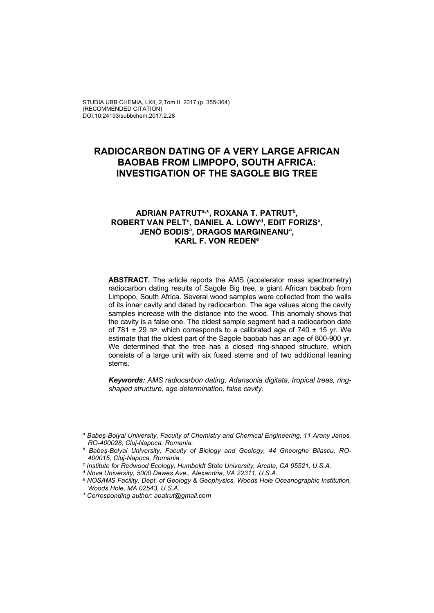# **RADIOCARBON DATING OF A VERY LARGE AFRICAN BAOBAB FROM LIMPOPO, SOUTH AFRICA: INVESTIGATION OF THE SAGOLE BIG TREE**

### **ADRIAN PATRUTa,\*, ROXANA T. PATRUTb,**  ROBERT VAN PELT<sup>c</sup>, DANIEL A. LOWY<sup>d</sup>, EDIT FORIZS<sup>a</sup>, **JENÖ BODISa , DRAGOS MARGINEANUa , KARL F. VON REDENe**

**ABSTRACT.** The article reports the AMS (accelerator mass spectrometry) radiocarbon dating results of Sagole Big tree, a giant African baobab from Limpopo, South Africa. Several wood samples were collected from the walls of its inner cavity and dated by radiocarbon. The age values along the cavity samples increase with the distance into the wood. This anomaly shows that the cavity is a false one. The oldest sample segment had a radiocarbon date of 781  $\pm$  29 BP, which corresponds to a calibrated age of 740  $\pm$  15 yr. We estimate that the oldest part of the Sagole baobab has an age of 800-900 yr. We determined that the tree has a closed ring-shaped structure, which consists of a large unit with six fused stems and of two additional leaning stems.

*Keywords: AMS radiocarbon dating, Adansonia digitata, tropical trees, ringshaped structure, age determination, false cavity.* 

<sup>a</sup> *Babeş-Bolyai University, Faculty of Chemistry and Chemical Engineering, 11 Arany Janos, RO-400028, Cluj-Napoca, Romania.* 

<sup>b</sup> *Babeş-Bolyai University, Faculty of Biology and Geology, 44 Gheorghe Bilascu, RO-400015, Cluj-Napoca, Romania.*

<sup>c</sup> *Institute for Redwood Ecology, Humboldt State University, Arcata, CA 95521, U.S.A.*

<sup>d</sup> *Nova University, 5000 Dawes Ave., Alexandria, VA 22311, U.S.A.* 

<sup>e</sup> *NOSAMS Facility, Dept. of Geology & Geophysics, Woods Hole Oceanographic Institution, Woods Hole, MA 02543, U.S.A.* 

*<sup>\*</sup> Corresponding author: apatrut@gmail.com*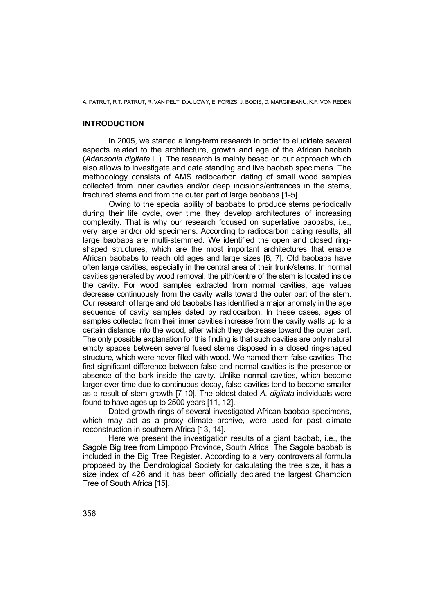## **INTRODUCTION**

In 2005, we started a long-term research in order to elucidate several aspects related to the architecture, growth and age of the African baobab (*Adansonia digitata* L.). The research is mainly based on our approach which also allows to investigate and date standing and live baobab specimens. The methodology consists of AMS radiocarbon dating of small wood samples collected from inner cavities and/or deep incisions/entrances in the stems, fractured stems and from the outer part of large baobabs [1-5].

Owing to the special ability of baobabs to produce stems periodically during their life cycle, over time they develop architectures of increasing complexity. That is why our research focused on superlative baobabs, i.e., very large and/or old specimens. According to radiocarbon dating results, all large baobabs are multi-stemmed. We identified the open and closed ringshaped structures, which are the most important architectures that enable African baobabs to reach old ages and large sizes [6, 7]. Old baobabs have often large cavities, especially in the central area of their trunk/stems. In normal cavities generated by wood removal, the pith/centre of the stem is located inside the cavity. For wood samples extracted from normal cavities, age values decrease continuously from the cavity walls toward the outer part of the stem. Our research of large and old baobabs has identified a major anomaly in the age sequence of cavity samples dated by radiocarbon. In these cases, ages of samples collected from their inner cavities increase from the cavity walls up to a certain distance into the wood, after which they decrease toward the outer part. The only possible explanation for this finding is that such cavities are only natural empty spaces between several fused stems disposed in a closed ring-shaped structure, which were never filled with wood. We named them false cavities. The first significant difference between false and normal cavities is the presence or absence of the bark inside the cavity. Unlike normal cavities, which become larger over time due to continuous decay, false cavities tend to become smaller as a result of stem growth [7-10]. The oldest dated *A. digitata* individuals were found to have ages up to 2500 years [11, 12].

Dated growth rings of several investigated African baobab specimens, which may act as a proxy climate archive, were used for past climate reconstruction in southern Africa [13, 14].

Here we present the investigation results of a giant baobab, i.e., the Sagole Big tree from Limpopo Province, South Africa. The Sagole baobab is included in the Big Tree Register. According to a very controversial formula proposed by the Dendrological Society for calculating the tree size, it has a size index of 426 and it has been officially declared the largest Champion Tree of South Africa [15].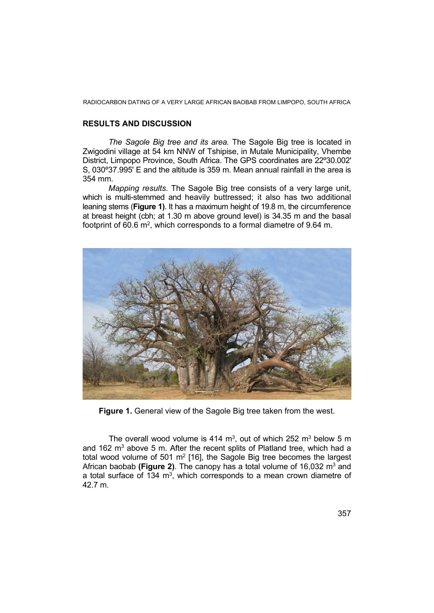## **RESULTS AND DISCUSSION**

*The Sagole Big tree and its area.* The Sagole Big tree is located in Zwigodini village at 54 km NNW of Tshipise, in Mutale Municipality, Vhembe District, Limpopo Province, South Africa. The GPS coordinates are 22º30.002' S, 030º37.995' E and the altitude is 359 m. Mean annual rainfall in the area is 354 mm.

*Mapping results*. The Sagole Big tree consists of a very large unit, which is multi-stemmed and heavily buttressed; it also has two additional leaning stems (**Figure 1)**. It has a maximum height of 19.8 m, the circumference at breast height (cbh; at 1.30 m above ground level) is 34.35 m and the basal footprint of 60.6 m<sup>2</sup>, which corresponds to a formal diametre of 9.64 m.



**Figure 1.** General view of the Sagole Big tree taken from the west.

The overall wood volume is 414  $m<sup>3</sup>$ , out of which 252  $m<sup>3</sup>$  below 5 m and 162  $m<sup>3</sup>$  above 5 m. After the recent splits of Platland tree, which had a total wood volume of 501  $m<sup>2</sup>$  [16], the Sagole Big tree becomes the largest African baobab (Figure 2). The canopy has a total volume of 16,032 m<sup>3</sup> and a total surface of 134  $m<sup>3</sup>$ , which corresponds to a mean crown diametre of 42.7 m.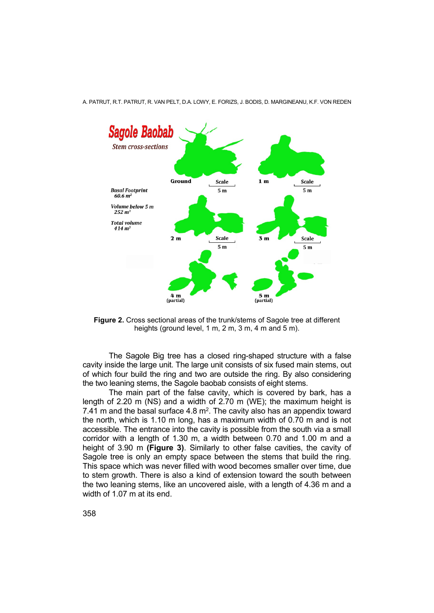

**Figure 2.** Cross sectional areas of the trunk/stems of Sagole tree at different heights (ground level, 1 m, 2 m, 3 m, 4 m and 5 m).

 The Sagole Big tree has a closed ring-shaped structure with a false cavity inside the large unit. The large unit consists of six fused main stems, out of which four build the ring and two are outside the ring. By also considering the two leaning stems, the Sagole baobab consists of eight stems.

 The main part of the false cavity, which is covered by bark, has a length of 2.20 m (NS) and a width of 2.70 m (WE); the maximum height is 7.41 m and the basal surface  $4.8$  m<sup>2</sup>. The cavity also has an appendix toward the north, which is 1.10 m long, has a maximum width of 0.70 m and is not accessible. The entrance into the cavity is possible from the south via a small corridor with a length of 1.30 m, a width between 0.70 and 1.00 m and a height of 3.90 m **(Figure 3)**. Similarly to other false cavities, the cavity of Sagole tree is only an empty space between the stems that build the ring. This space which was never filled with wood becomes smaller over time, due to stem growth. There is also a kind of extension toward the south between the two leaning stems, like an uncovered aisle, with a length of 4.36 m and a width of 1.07 m at its end.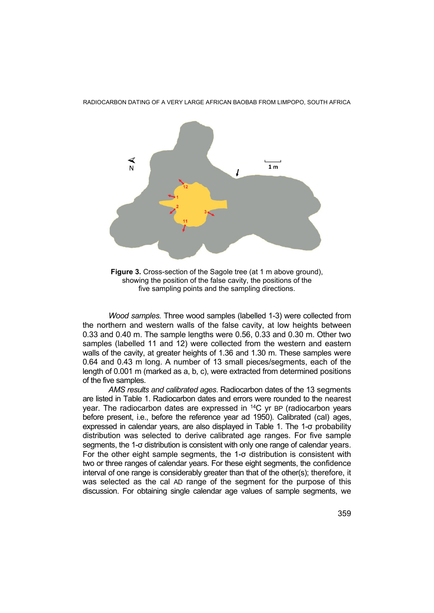

**Figure 3.** Cross-section of the Sagole tree (at 1 m above ground), showing the position of the false cavity, the positions of the five sampling points and the sampling directions.

*Wood samples.* Three wood samples (labelled 1-3) were collected from the northern and western walls of the false cavity, at low heights between 0.33 and 0.40 m. The sample lengths were 0.56, 0.33 and 0.30 m. Other two samples (labelled 11 and 12) were collected from the western and eastern walls of the cavity, at greater heights of 1.36 and 1.30 m. These samples were 0.64 and 0.43 m long. A number of 13 small pieces/segments, each of the length of 0.001 m (marked as a, b, c), were extracted from determined positions of the five samples.

*AMS results and calibrated ages*. Radiocarbon dates of the 13 segments are listed in Table 1. Radiocarbon dates and errors were rounded to the nearest year. The radiocarbon dates are expressed in <sup>14</sup>C yr BP (radiocarbon years before present, i.e., before the reference year ad 1950). Calibrated (cal) ages, expressed in calendar years, are also displayed in Table 1. The 1-σ probability distribution was selected to derive calibrated age ranges. For five sample segments, the 1-σ distribution is consistent with only one range of calendar years. For the other eight sample segments, the 1-σ distribution is consistent with two or three ranges of calendar years. For these eight segments, the confidence interval of one range is considerably greater than that of the other(s); therefore, it was selected as the cal AD range of the segment for the purpose of this discussion. For obtaining single calendar age values of sample segments, we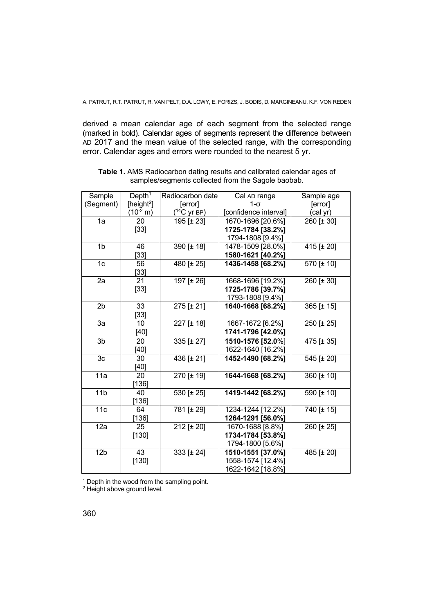derived a mean calendar age of each segment from the selected range (marked in bold). Calendar ages of segments represent the difference between AD 2017 and the mean value of the selected range, with the corresponding error. Calendar ages and errors were rounded to the nearest 5 yr.

| Sample          | Depth <sup>1</sup>     | Radiocarbon date         | Cal AD range          | Sample age |
|-----------------|------------------------|--------------------------|-----------------------|------------|
| (Segment)       | [height <sup>2</sup> ] | [error]                  | $1-\sigma$            | [error]    |
|                 | $(10^{-2} m)$          | ( <sup>14</sup> C yr BP) | [confidence interval] | (cal yr)   |
| 1a              | 20                     | 195 [± 23]               | 1670-1696 [20.6%]     | 260 [± 30] |
|                 | $[33]$                 |                          | 1725-1784 [38.2%]     |            |
|                 |                        |                          | 1794-1808 [9.4%]      |            |
| 1 <sub>b</sub>  | 46                     | 390 [± 18]               | 1478-1509 [28.0%]     | 415 [± 20] |
|                 | 331                    |                          | 1580-1621 [40.2%]     |            |
| 1 <sub>c</sub>  | 56                     | 480 [± 25]               | 1436-1458 [68.2%]     | 570 [± 10] |
|                 | [33]                   |                          |                       |            |
| 2a              | 21                     | 197 [± 26]               | 1668-1696 [19.2%]     | 260 [± 30] |
|                 | $[33]$                 |                          | 1725-1786 [39.7%]     |            |
|                 |                        |                          | 1793-1808 [9.4%]      |            |
| $\overline{2}b$ | 33                     | 275 [± 21]               | 1640-1668 [68.2%]     | 365 [± 15] |
|                 | [33]                   |                          |                       |            |
| 3a              | 10                     | 227 [± 18]               | 1667-1672 [6.2%]      | 250 [± 25] |
|                 | $[40]$                 |                          | 1741-1796 [42.0%]     |            |
| $\overline{3b}$ | 20                     | $335 [\pm 27]$           | 1510-1576 [52.0%]     | 475 [± 35] |
|                 | [40]                   |                          | 1622-1640 [16.2%]     |            |
| 3c              | 30                     | 436 $[t 21]$             | 1452-1490 [68.2%]     | 545 [± 20] |
|                 | [40]                   |                          |                       |            |
| 11a             | 20                     | 270 [± 19]               | 1644-1668 [68.2%]     | 360 [± 10] |
|                 | [136]                  |                          |                       |            |
| 11 <sub>b</sub> | 40                     | 530 [± 25]               | 1419-1442 [68.2%]     | 590 [± 10] |
|                 | [136]                  |                          |                       |            |
| 11c             | 64                     | 781 [± 29]               | 1234-1244 [12.2%]     | 740 [± 15] |
|                 | [136]                  |                          | 1264-1291 [56.0%]     |            |
| 12a             | 25                     | 212 [± 20]               | 1670-1688 [8.8%]      | 260 [± 25] |
|                 | $[130]$                |                          | 1734-1784 [53.8%]     |            |
|                 |                        |                          | 1794-1800 [5.6%]      |            |
| 12 <sub>b</sub> | 43                     | 333 [± 24]               | 1510-1551 [37.0%]     | 485 [± 20] |
|                 | $[130]$                |                          | 1558-1574 [12.4%]     |            |
|                 |                        |                          | 1622-1642 [18.8%]     |            |

| <b>Table 1.</b> AMS Radiocarbon dating results and calibrated calendar ages of |  |
|--------------------------------------------------------------------------------|--|
| samples/segments collected from the Sagole baobab.                             |  |

<sup>1</sup> Depth in the wood from the sampling point.

<sup>2</sup> Height above ground level.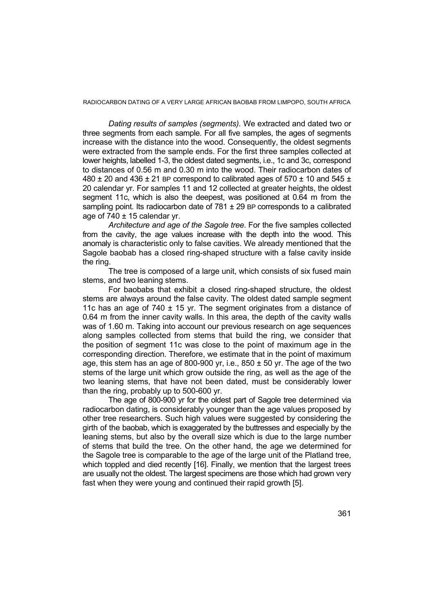*Dating results of samples (segments).* We extracted and dated two or three segments from each sample. For all five samples, the ages of segments increase with the distance into the wood. Consequently, the oldest segments were extracted from the sample ends. For the first three samples collected at lower heights, labelled 1-3, the oldest dated segments, i.e., 1c and 3c, correspond to distances of 0.56 m and 0.30 m into the wood. Their radiocarbon dates of 480  $\pm$  20 and 436  $\pm$  21 BP correspond to calibrated ages of 570  $\pm$  10 and 545  $\pm$ 20 calendar yr. For samples 11 and 12 collected at greater heights, the oldest segment 11c, which is also the deepest, was positioned at 0.64 m from the sampling point. Its radiocarbon date of  $781 \pm 29$  BP corresponds to a calibrated age of  $740 \pm 15$  calendar yr.

*Architecture and age of the Sagole tree*. For the five samples collected from the cavity, the age values increase with the depth into the wood. This anomaly is characteristic only to false cavities. We already mentioned that the Sagole baobab has a closed ring-shaped structure with a false cavity inside the ring.

The tree is composed of a large unit, which consists of six fused main stems, and two leaning stems.

For baobabs that exhibit a closed ring-shaped structure, the oldest stems are always around the false cavity. The oldest dated sample segment 11c has an age of  $740 \pm 15$  yr. The segment originates from a distance of 0.64 m from the inner cavity walls. In this area, the depth of the cavity walls was of 1.60 m. Taking into account our previous research on age sequences along samples collected from stems that build the ring, we consider that the position of segment 11c was close to the point of maximum age in the corresponding direction. Therefore, we estimate that in the point of maximum age, this stem has an age of 800-900 yr, i.e.,  $850 \pm 50$  yr. The age of the two stems of the large unit which grow outside the ring, as well as the age of the two leaning stems, that have not been dated, must be considerably lower than the ring, probably up to 500-600 yr.

The age of 800-900 yr for the oldest part of Sagole tree determined via radiocarbon dating, is considerably younger than the age values proposed by other tree researchers. Such high values were suggested by considering the girth of the baobab, which is exaggerated by the buttresses and especially by the leaning stems, but also by the overall size which is due to the large number of stems that build the tree. On the other hand, the age we determined for the Sagole tree is comparable to the age of the large unit of the Platland tree, which toppled and died recently [16]. Finally, we mention that the largest trees are usually not the oldest. The largest specimens are those which had grown very fast when they were young and continued their rapid growth [5].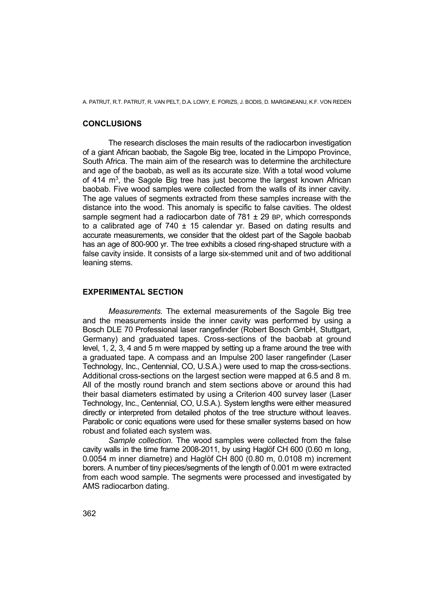A. PATRUT, R.T. PATRUT, R. VAN PELT, D.A. LOWY, E. FORIZS, J. BODIS, D. MARGINEANU, K.F. VON REDEN

## **CONCLUSIONS**

The research discloses the main results of the radiocarbon investigation of a giant African baobab, the Sagole Big tree, located in the Limpopo Province, South Africa. The main aim of the research was to determine the architecture and age of the baobab, as well as its accurate size. With a total wood volume of 414 m<sup>3</sup>, the Sagole Big tree has just become the largest known African baobab. Five wood samples were collected from the walls of its inner cavity. The age values of segments extracted from these samples increase with the distance into the wood. This anomaly is specific to false cavities. The oldest sample segment had a radiocarbon date of  $781 \pm 29$  BP, which corresponds to a calibrated age of  $740 \pm 15$  calendar vr. Based on dating results and accurate measurements, we consider that the oldest part of the Sagole baobab has an age of 800-900 yr. The tree exhibits a closed ring-shaped structure with a false cavity inside. It consists of a large six-stemmed unit and of two additional leaning stems.

### **EXPERIMENTAL SECTION**

*Measurements.* The external measurements of the Sagole Big tree and the measurements inside the inner cavity was performed by using a Bosch DLE 70 Professional laser rangefinder (Robert Bosch GmbH, Stuttgart, Germany) and graduated tapes. Cross-sections of the baobab at ground level, 1, 2, 3, 4 and 5 m were mapped by setting up a frame around the tree with a graduated tape. A compass and an Impulse 200 laser rangefinder (Laser Technology, Inc., Centennial, CO, U.S.A.) were used to map the cross-sections. Additional cross-sections on the largest section were mapped at 6.5 and 8 m. All of the mostly round branch and stem sections above or around this had their basal diameters estimated by using a Criterion 400 survey laser (Laser Technology, Inc., Centennial, CO, U.S.A.). System lengths were either measured directly or interpreted from detailed photos of the tree structure without leaves. Parabolic or conic equations were used for these smaller systems based on how robust and foliated each system was.

*Sample collection.* The wood samples were collected from the false cavity walls in the time frame 2008-2011, by using Haglöf CH 600 (0.60 m long, 0.0054 m inner diametre) and Haglöf CH 800 (0.80 m, 0.0108 m) increment borers. A number of tiny pieces/segments of the length of 0.001 m were extracted from each wood sample. The segments were processed and investigated by AMS radiocarbon dating.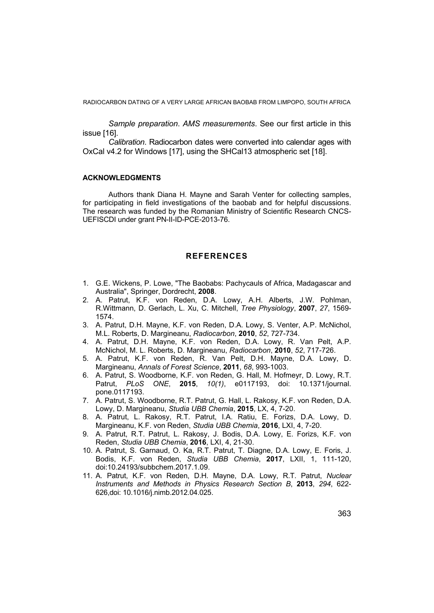*Sample preparation*. *AMS measurements*. See our first article in this issue [16].

*Calibration*. Radiocarbon dates were converted into calendar ages with OxCal v4.2 for Windows [17], using the SHCal13 atmospheric set [18].

### **ACKNOWLEDGMENTS**

Authors thank Diana H. Mayne and Sarah Venter for collecting samples, for participating in field investigations of the baobab and for helpful discussions. The research was funded by the Romanian Ministry of Scientific Research CNCS-UEFISCDI under grant PN-II-ID-PCE-2013-76.

### **REFERENCES**

- 1. G.E. Wickens, P. Lowe, "The Baobabs: Pachycauls of Africa, Madagascar and Australia", Springer, Dordrecht, **2008**.
- 2. A. Patrut, K.F. von Reden, D.A. Lowy, A.H. Alberts, J.W. Pohlman, R.Wittmann, D. Gerlach, L. Xu, C. Mitchell, *Tree Physiology*, **2007**, *27*, 1569- 1574.
- 3. A. Patrut, D.H. Mayne, K.F. von Reden, D.A. Lowy, S. Venter, A.P. McNichol, M.L. Roberts, D. Margineanu, *Radiocarbon*, **2010**, *52*, 727-734.
- 4. A. Patrut, D.H. Mayne, K.F. von Reden, D.A. Lowy, R. Van Pelt, A.P. McNichol, M. L. Roberts, D. Margineanu, *Radiocarbon*, **2010**, *52*, 717-726.
- 5. A. Patrut, K.F. von Reden, R. Van Pelt, D.H. Mayne, D.A. Lowy, D. Margineanu, *Annals of Forest Science*, **2011**, *68*, 993-1003.
- 6. A. Patrut, S. Woodborne, K.F. von Reden, G. Hall, M. Hofmeyr, D. Lowy, R.T. Patrut, *PLoS ONE*, **2015**, *10(1)*, e0117193, doi: 10.1371/journal. pone.0117193.
- 7. A. Patrut, S. Woodborne, R.T. Patrut, G. Hall, L. Rakosy, K.F. von Reden, D.A. Lowy, D. Margineanu, *Studia UBB Chemia*, **2015**, LX, 4, 7-20.
- 8. A. Patrut, L. Rakosy, R.T. Patrut, I.A. Ratiu, E. Forizs, D.A. Lowy, D. Margineanu, K.F. von Reden, *Studia UBB Chemia*, **2016**, LXI, 4, 7-20.
- 9. A. Patrut, R.T. Patrut, L. Rakosy, J. Bodis, D.A. Lowy, E. Forizs, K.F. von Reden, *Studia UBB Chemia*, **2016**, LXI, 4, 21-30.
- 10. A. Patrut, S. Garnaud, O. Ka, R.T. Patrut, T. Diagne, D.A. Lowy, E. Foris, J. Bodis, K.F. von Reden, *Studia UBB Chemia*, **2017**, LXII, 1, 111-120, doi:10.24193/subbchem.2017.1.09.
- 11. A. Patrut, K.F. von Reden, D.H. Mayne, D.A. Lowy, R.T. Patrut, *Nuclear Instruments and Methods in Physics Research Section B*, **2013**, *294*, 622- 626,doi: 10.1016/j.nimb.2012.04.025.